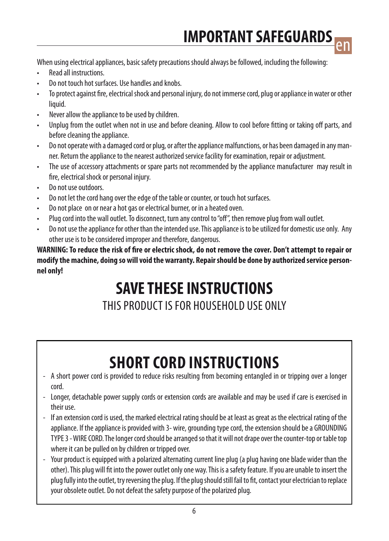When using electrical appliances, basic safety precautions should always be followed, including the following:

- **Read all instructions**
- Do not touch hot surfaces. Use handles and knobs.
- To protect against fire, electrical shock and personal injury, do not immerse cord, plug or appliance in water or other liquid.
- Never allow the appliance to be used by children.
- Unplug from the outlet when not in use and before cleaning. Allow to cool before fitting or taking off parts, and before cleaning the appliance.
- Do not operate with a damaged cord or plug, or after the appliance malfunctions, or has been damaged in any manner. Return the appliance to the nearest authorized service facility for examination, repair or adiustment.
- • The use of accessory attachments or spare parts not recommended by the appliance manufacturer may result in fire, electrical shock or personal injury.
- Do not use outdoors
- Do not let the cord hang over the edge of the table or counter, or touch hot surfaces.
- Do not place on or near a hot gas or electrical burner, or in a heated oven.
- Plug cord into the wall outlet. To disconnect, turn any control to "off", then remove plug from wall outlet.
- Do not use the appliance for other than the intended use. This appliance is to be utilized for domestic use only. Any other use is to be considered improper and therefore, dangerous.

**WARNING: To reduce the risk of fire or electric shock, do not remove the cover. Don't attempt to repair or modify the machine, doing so will void the warranty. Repair should be done by authorized service personnel only!**

# **SAVE THESE INSTRUCTIONS**

### THIS PRODUCT IS FOR HOUSEHOLD USE ONLY

### **shortcord instructions**

- A short power cord is provided to reduce risks resulting from becoming entangled in or tripping over a longer cord.
- Longer, detachable power supply cords or extension cords are available and may be used if care is exercised in their use.
- If an extension cord is used, the marked electrical rating should be at least as great as the electrical rating of the appliance. If the appliance is provided with 3- wire, grounding type cord, the extension should be a GROUNDING TYPE 3 - WIRE CORD. The longer cord should be arranged so that it will not drape over the counter-top or table top where it can be pulled on by children or tripped over.
- Your product is equipped with a polarized alternating current line plug (a plug having one blade wider than the other). This plug will fit into the power outlet only one way. This is a safety feature. If you are unable to insert the plug fully into the outlet, try reversing the plug. If the plug should still fail to fit, contact your electrician to replace your obsolete outlet. Do not defeat the safety purpose of the polarized plug.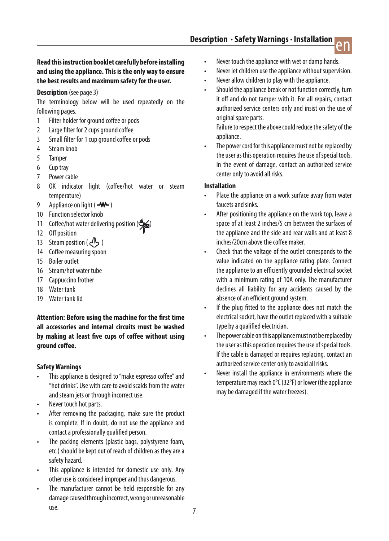

#### **Read this instruction booklet carefully before installing and using the appliance. This is the only way to ensure the best results and maximum safety for the user.**

#### **Description** (see page 3)

The terminology below will be used repeatedly on the following pages.

- 1 Filter holder for ground coffee or pods
- 2 Large filter for 2 cups ground coffee
- 3 Small filter for 1 cup ground coffee or pods
- 4 Steam knob
- 5 Tamper
- 6 Cuptray
- 7 Power cable
- 8 OK indicator light (coffee/hot water or steam temperature)
- 9 Appliance on light  $( -W )$
- 10 Function selector knob
- 11 Coffee/hot water delivering position ( $\frac{m}{2}$
- 12 Off position
- 13 Steam position ( $\sqrt{N_2}$ )
- 14 Coffee measuring spoon
- 15 Boiler outlet
- 16 Steam/hot water tube
- 17 Cappuccino frother
- 18 Water tank
- 19 Water tank lid

**Attention: Before using the machine for the first time all accessories and internal circuits must be washed by making at least five cups of coffee without using ground coffee.**

#### **Safety Warnings**

- This appliance is designed to "make espresso coffee" and "hot drinks". Use with care to avoid scalds from the water and steam jets or through incorrect use.
- Never touch hot parts.
- After removing the packaging, make sure the product is complete. If in doubt, do not use the appliance and contact a professionally qualified person.
- The packing elements (plastic bags, polystyrene foam, etc.) should be kept out of reach of children as they are a safety hazard.
- This appliance is intended for domestic use only. Any other use is considered improper and thus dangerous.
- The manufacturer cannot be held responsible for any damage caused through incorrect, wrong or unreasonable use.
- Never touch the appliance with wet or damp hands.
- Never let children use the appliance without supervision.
- Never allow children to play with the appliance.
- Should the appliance break or not function correctly, turn it off and do not tamper with it. For all repairs, contact authorized service centers only and insist on the use of original spare parts.

Failure to respect the above could reduce the safety of the appliance.

The power cord for this appliance must not be replaced by the user as this operation requires the use of special tools. In the event of damage, contact an authorized service center only to avoid all risks.

#### **Installation**

- Place the appliance on a work surface away from water faucets and sinks.
- After positioning the appliance on the work top, leave a space of at least 2 inches/5 cm between the surfaces of the appliance and the side and rear walls and at least 8 inches/20cm above the coffee maker
- Check that the voltage of the outlet corresponds to the value indicated on the appliance rating plate. Connect the appliance to an efficiently grounded electrical socket with a minimum rating of 10A only. The manufacturer declines all liability for any accidents caused by the absence of an efficient ground system.
- If the plug fitted to the appliance does not match the electrical socket, have the outlet replaced with a suitable type by a qualified electrician.
- The power cable on this appliance must not be replaced by the user as this operation requires the use of special tools. If the cable is damaged or requires replacing, contact an authorized service center only to avoid all risks.
- Never install the appliance in environments where the temperature may reach  $0^{\circ}$ C (32°F) or lower (the appliance may be damaged if the water freezes).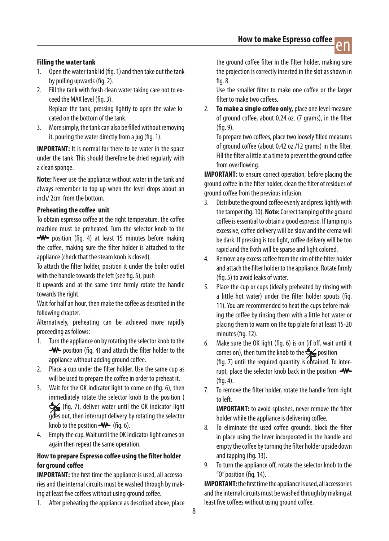

#### **Filling the water tank**

- 1. Open the water tank lid (fig. 1) and then take out the tank by pulling upwards (fig. 2).
- 2. Fill the tank with fresh clean water taking care not to exceed the MAX level (fig. 3). Replace the tank, pressing lightly to open the valve located on the bottom of the tank.
- 3. More simply, the tank can also be filled without removing it, pouring the water directly from a jug (fig. 1).

**IMPORTANT:** It is normal for there to be water in the space under the tank.This should therefore be dried regularly with a clean sponge.

**Note:** Never use the appliance without water in the tank and always remember to top up when the level drops about an inch/2cm from the bottom.

#### **Preheating the coffee unit**

To obtain espresso coffee at the right temperature, the coffee machine must be preheated. Turn the selector knob to the **-W** position (fig. 4) at least 15 minutes before making the coffee, making sure the filter holder is attached to the appliance (check that the steam knob is closed).

To attach the filter holder, position it under the boiler outlet with the handle towards the left (see fig. 5), push

it upwards and at the same time firmly rotate the handle towards the right.

Wait for half an hour, then make the coffee as described in the following chapter.

Alternatively, preheating can be achieved more rapidly proceeding as follows:

- 1. Turn the appliance on by rotating the selector knob to the **-W**- position (fig. 4) and attach the filter holder to the appliance without adding ground coffee.
- 2. Place a cup under the filter holder. Use the same cup as will be used to prepare the coffee in order to preheat it.
- 3. Wait for the OK indicator light to come on (fig. 6), then immediately rotate the selector knob to the position ( (fig. 7), deliver water until the OK indicator light goes out, then interrupt delivery by rotating the selector knob to the position  $-W$  (fig. 6).
- 4. Empty the cup. Wait until the OK indicator light comes on again then repeat the same operation.

#### **How to prepare Espresso coffee using the filter holder for ground coffee**

**IMPORTANT:** the first time the appliance is used, all accessories and the internal circuits must be washed through by making at least five coffees without using ground coffee.

1. After preheating the appliance as described above, place

the ground coffee filter in the filter holder, making sure the projection is correctly inserted in the slot as shown in fig.8.

 Use the smaller filter to make one coffee or the larger filter to make two coffees

2. **To make a single coffee only,** place one level measure of ground coffee, about 0.24 oz. (7 grams), in the filter (fig.9).

To prepare two coffees, place two loosely filled measures of ground coffee (about 0.42 oz./12 grams) in the filter. Fill the filter a little at a time to prevent the ground coffee from overflowing.

**IMPORTANT:** to ensure correct operation, before placing the ground coffee in the filter holder, clean the filter of residues of ground coffee from the previous infusion.

- 3. Distribute the ground coffee evenly and press lightly with the tamper (fig. 10). **Note:** Correct tamping of the ground coffee is essential to obtain a good espresso. If tamping is excessive, coffee delivery will be slow and the crema will be dark. If pressing is too light, coffee delivery will be too rapid and the froth will be sparse and light colored.
- 4. Remove any excess coffee from the rim of the filter holder and attach the filter holder to the appliance. Rotate firmly (fig. 5) to avoid leaks of water.
- 5. Place the cup or cups (ideally preheated by rinsing with a little hot water) under the filter holder spouts (fig. 11). You are recommended to heat the cups before making the coffee by rinsing them with a little hot water or placing them to warm on the top plate for at least 15-20 minutes (fig. 12).
- 6. Make sure the OK light (fig. 6) is on (if off, wait until it comes on), then turn the knob to the  $\mathcal{L}_{\mathbf{R}}$  position (fig. 7) until the required quantity is obtained. To interrupt, place the selector knob back in the position  $-W$ -(fig.4).
- 7. To remove the filter holder, rotate the handle from right toleft.

**IMPORTANT:** to avoid splashes, never remove the filter holder while the appliance is delivering coffee.

- 8. To eliminate the used coffee grounds, block the filter in place using the lever incorporated in the handle and empty the coffee by turning the filter holder upside down and tapping (fig. 13).
- 9. To turn the appliance off, rotate the selector knob to the "O"position (fig.14).

**IMPORTANT:** the first time the appliance is used, all accessories and the internal circuits must be washed through by making at least five coffees without using ground coffee.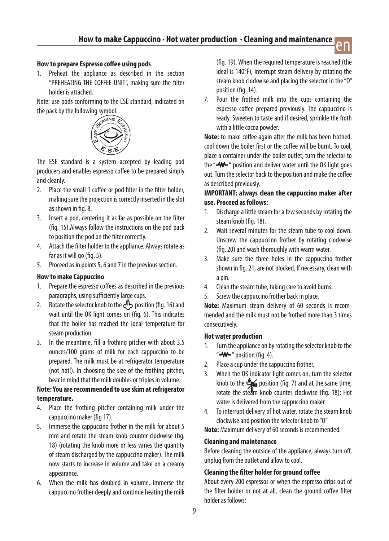#### **How to prepare Espresso coffee using pods**

1. Preheat the appliance as described in the section "PREHEATING THE COFFEE UNIT", making sure the filter holder is attached.

Note: use pods conforming to the ESE standard, indicated on the pack by the following symbol:



The ESE standard is a system accepted by leading pod producers and enables espresso coffee to be prepared simply and cleanly.

- 2. Place the small 1 coffee or pod filter in the filter holder, making sure the projection is correctly inserted in the slot as shown in fig.8.
- 3. Insert a pod, centering it as far as possible on the filter (fig. 15).Always follow the instructions on the pod pack to position the pod on the filter correctly.
- 4. Attach the filter holder to the appliance. Always rotate as far as it will go (fig. 5).
- 5. Proceed as in points 5, 6 and 7 in the previous section.

#### **How to make Cappuccino**

- 1. Prepare the espresso coffees as described in the previous paragraphs, using sufficiently large cups.
- 2. Rotate the selector knob to the  $\sqrt{P}$  position (fig. 16) and wait until the OK light comes on (fig. 6). This indicates that the boiler has reached the ideal temperature for steam production.
- 3. In the meantime, fill a frothing pitcher with about 3.5 ounces/100 grams of milk for each cappuccino to be prepared. The milk must be at refrigerator temperature (not hot!). In choosing the size of the frothing pitcher, bear in mind that the milk doubles or triples in volume.

#### **Note: You are recommended to use skim at refrigerator temperature.**

- 4. Place the frothing pitcher containing milk under the cappuccino maker (fig 17).
- 5. Immerse the cappuccino frother in the milk for about 5 mm and rotate the steam knob counter clockwise (fig. 18) (rotating the knob more or less varies the quantity of steam discharged by the cappuccino maker). The milk now starts to increase in volume and take on a creamy appearance.
- 6. When the milk has doubled in volume, immerse the cappuccino frother deeply and continue heating the milk

(fig. 19). When the required temperature is reached (the ideal is 140°F), interrupt steam delivery by rotating the steam knob clockwise and placing the selector in the "O" position (fig.14).

en

7. Pour the frothed milk into the cups containing the espresso coffee prepared previously. The cappuccino is ready. Sweeten to taste and if desired, sprinkle the froth with a little cocoa powder.

**Note:** to make coffee again after the milk has been frothed, cool down the boiler first or the coffee will be burnt.To cool, place a container under the boiler outlet, turn the selector to the "-W-" position and deliver water until the OK light goes out. Turn the selector back to the position and make the coffee as described previously.

#### **IMPORTANT: always clean the cappuccino maker after use. Proceed as follows:**

- 1. Discharge a little steam for a few seconds by rotating the steam knob (fig. 18).
- 2. Wait several minutes for the steam tube to cool down. Unscrew the cappuccino frother by rotating clockwise (fig.20)and wash thoroughly with warm water.
- 3. Make sure the three holes in the cappuccino frother shown in fig. 21, are not blocked. If necessary, clean with a pin.
- 4. Clean the steam tube, taking care to avoid burns.
- 5. Screw the cappuccino frother back in place.

**Note:** Maximum steam delivery of 60 seconds is recommended and the milk must not be frothed more than 3 times consecutively.

#### **Hot water production**

- 1. Turn the appliance on by rotating the selector knob to the " $-M$ " position (fig. 4).
- 2. Place a cup under the cappuccino frother.
- 3. When the OK indicator light comes on, turn the selector knob to the  $\frac{1}{\sqrt{2}}$  position (fig. 7) and at the same time, rotate the steam knob counter clockwise (fig. 18): Hot water is delivered from the cappuccino maker.
- 4. To interrupt delivery of hot water, rotate the steam knob clockwise and position the selector knob to "O"

**Note:** Maximum delivery of 60 seconds is recommended.

#### **Cleaning and maintenance**

Before cleaning the outside of the appliance, always turn off, unplug from the outlet and allow to cool.

#### **Cleaning the filter holder for ground coffee**

About every 200 espressos or when the espresso drips out of the filter holder or not at all, clean the ground coffee filter holder as follows: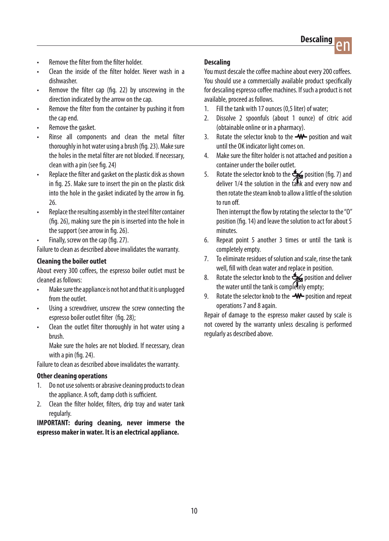- Remove the filter from the filter holder
- Clean the inside of the filter holder. Never wash in a dishwasher.
- Remove the filter cap (fig. 22) by unscrewing in the direction indicated by the arrow on the cap.
- Remove the filter from the container by pushing it from the cap end.
- Remove the gasket.
- Rinse all components and clean the metal filter thoroughly in hot water using a brush (fig. 23). Make sure the holes in the metal filter are not blocked. If necessary, clean with a pin (see fig. 24)
- Replace the filter and gasket on the plastic disk as shown in fig. 25. Make sure to insert the pin on the plastic disk into the hole in the gasket indicated by the arrow in fig. 26.
- Replace the resulting assembly in the steel filter container (fig. 26), making sure the pin is inserted into the hole in the support (see arrow in fig. 26).
- Finally, screw on the cap (fig. 27).

Failure to clean as described above invalidates the warranty.

#### **Cleaning the boiler outlet**

About every 300 coffees, the espresso boiler outlet must be cleaned as follows:

- Make sure the appliance is not hot and that it is unplugged from the outlet.
- Using a screwdriver, unscrew the screw connecting the espresso boiler outlet filter (fig. 28);
- Clean the outlet filter thoroughly in hot water using a brush.

 Make sure the holes are not blocked. If necessary, clean with a pin (fig. 24).

Failure to clean as described above invalidates the warranty.

#### **Other cleaning operations**

- 1. Do not use solvents or abrasive cleaning products to clean the appliance. A soft, damp cloth is sufficient.
- 2. Clean the filter holder, filters, drip tray and water tank regularly.

**IMPORTANT: during cleaning, never immerse the espresso maker in water. It is an electrical appliance.**

#### **Descaling**

You must descale the coffee machine about every 200 coffees. You should use a commercially available product specifically for descaling espresso coffee machines. If such a product is not available, proceed as follows.

- 1. Fill the tank with 17 ounces (0,5 liter) of water:
- 2. Dissolve 2 spoonfuls (about 1 ounce) of citric acid (obtainable online or in a pharmacy).
- 3. Rotate the selector knob to the  $-W$  position and wait until the OK indicator light comes on.
- 4. Make sure the filter holder is not attached and position a container under the boiler outlet.
- 5. Rotate the selector knob to the  $\frac{4}{\sqrt{2}}$  position (fig. 7) and deliver 1/4 the solution in the tank and every now and then rotate the steam knob to allow a little of the solution to run off

Then interrupt the flow by rotating the selector to the "O" position (fig. 14) and leave the solution to act for about 5 minutes.

- 6. Repeat point 5 another 3 times or until the tank is completely empty.
- 7. To eliminate residues of solution and scale, rinse the tank well, fill with clean water and replace in position.
- 8. Rotate the selector knob to the  $\frac{4}{\sqrt{2}}$  position and deliver the water until the tank is completely empty:
- 9. Rotate the selector knob to the  $-W$ -position and repeat operations 7 and 8 again.

Repair of damage to the espresso maker caused by scale is not covered by the warranty unless descaling is performed regularly as described above.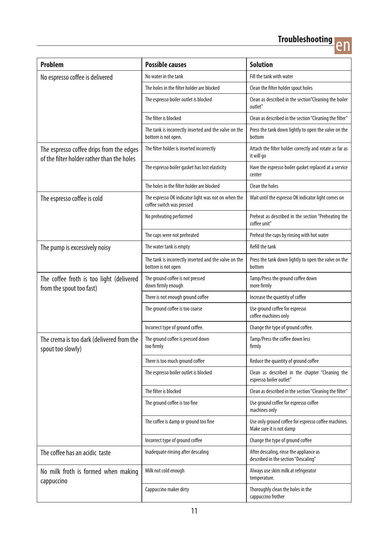## **Troubleshooting**<br> **end**



| <b>Problem</b>                                                                         | <b>Possible causes</b>                                                           | <b>Solution</b>                                                                  |
|----------------------------------------------------------------------------------------|----------------------------------------------------------------------------------|----------------------------------------------------------------------------------|
| No espresso coffee is delivered                                                        | No water in the tank                                                             | Fill the tank with water                                                         |
|                                                                                        | The holes in the filter holder are blocked                                       | Clean the filter holder spout holes                                              |
|                                                                                        | The espresso boiler outlet is blocked                                            | Clean as described in the section"Cleaning the boiler<br>outlet"                 |
|                                                                                        | The filter is blocked                                                            | Clean as described in the section "Cleaning the filter"                          |
|                                                                                        | The tank is incorrectly inserted and the valve on the<br>bottom is not open.     | Press the tank down lightly to open the valve on the<br>bottom                   |
| The espresso coffee drips from the edges<br>of the filter holder rather than the holes | The filter holder is inserted incorrectly                                        | Attach the filter holder correctly and rotate as far as<br>it will go            |
|                                                                                        | The espresso boiler gasket has lost elasticity                                   | Have the espresso boiler gasket replaced at a service<br>center                  |
|                                                                                        | The holes in the filter holder are blocked                                       | Clean the holes                                                                  |
| The espresso coffee is cold                                                            | The espresso OK indicator light was not on when the<br>coffee switch was pressed | Wait until the espresso OK indicator light comes on                              |
|                                                                                        | No preheating performed                                                          | Preheat as described in the section "Preheating the<br>coffee unit"              |
|                                                                                        | The cups were not preheated                                                      | Preheat the cups by rinsing with hot water                                       |
| The pump is excessively noisy                                                          | The water tank is empty                                                          | Refill the tank                                                                  |
|                                                                                        | The tank is incorrectly inserted and the valve on the<br>bottom is not open      | Press the tank down lightly to open the valve on the<br>bottom                   |
| The coffee froth is too light (delivered<br>from the spout too fast)                   | The ground coffee is not pressed<br>down firmly enough                           | Tamp/Press the ground coffee down<br>more firmly                                 |
|                                                                                        | There is not enough ground coffee                                                | Increase the quantity of coffee                                                  |
|                                                                                        | The ground coffee is too coarse                                                  | Use ground coffee for espresso<br>coffee machines only                           |
|                                                                                        | Incorrect type of ground coffee.                                                 | Change the type of ground coffee.                                                |
| The crema is too dark (delivered from the<br>spout too slowly)                         | The ground coffee is pressed down<br>too firmly                                  | Tamp/Press the coffee down less<br>firmly                                        |
|                                                                                        | There is too much ground coffee                                                  | Reduce the quantity of ground coffee                                             |
|                                                                                        | The espresso boiler outlet is blocked                                            | Clean as described in the chapter "Cleaning the<br>espresso boiler outlet"       |
|                                                                                        | The filter is blocked                                                            | Clean as described in the section "Cleaning the filter"                          |
|                                                                                        | The ground coffee is too fine                                                    | Use ground coffee for espresso coffee<br>machines only                           |
|                                                                                        | The coffee is damp or ground too fine                                            | Use only ground coffee for espresso coffee machines.<br>Make sure it is not damp |
|                                                                                        | Incorrect type of ground coffee                                                  | Change the type of ground coffee                                                 |
| The coffee has an acidic taste                                                         | Inadequate rinsing after descaling                                               | After descaling, rinse the appliance as<br>described in the section "Descaling"  |
| No milk froth is formed when making<br>cappuccino                                      | Milk not cold enough                                                             | Always use skim milk at refrigerator<br>temperature.                             |
|                                                                                        | Cappuccino maker dirty                                                           | Thoroughly clean the holes in the<br>cappuccino frother                          |